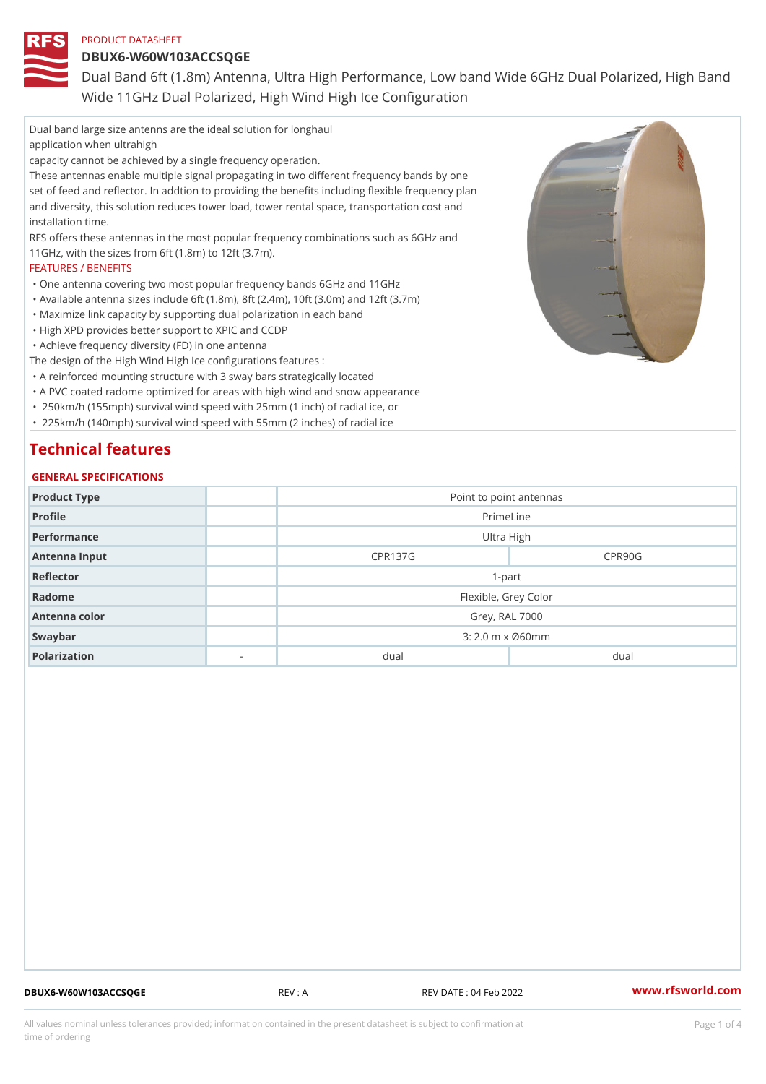DBUX6-W60W103ACCSQGE

Dual Band 6ft (1.8m) Antenna, Ultra High Performance, Low band Wide Wide 11GHz Dual Polarized, High Wind High Ice Configuration

Dual band large size antenns are the ideal solution for longhaul application when ultrahigh capacity cannot be achieved by a single frequency operation. These antennas enable multiple signal propagating in two different frequency bands by one set of feed and reflector. In addtion to providing the benefits including flexible frequency plan and diversity, this solution reduces tower load, tower rental space, transportation cost and installation time. RFS offers these antennas in the most popular frequency combinations such as 6GHz and 11GHz, with the sizes from 6ft (1.8m) to 12ft (3.7m). FEATURES / BENEFITS "One antenna covering two most popular frequency bands 6GHz and 11GHz "Available antenna sizes include 6ft (1.8m), 8ft (2.4m), 10ft (3.0m) and 12ft (3.7m) "Maximize link capacity by supporting dual polarization in each band "High XPD provides better support to XPIC and CCDP "Achieve frequency diversity (FD) in one antenna The design of the High Wind High Ice configurations features : "A reinforced mounting structure with 3 sway bars strategically located "A PVC coated radome optimized for areas with high wind and snow appearance " 250km/h (155mph) survival wind speed with 25mm (1 inch) of radial ice, or " 225km/h (140mph) survival wind speed with 55mm (2 inches) of radial ice Technical features GENERAL SPECIFICATIONS

| Product Type  |                          | Point to point antennas     |                      |  |  |
|---------------|--------------------------|-----------------------------|----------------------|--|--|
| Profile       |                          | PrimeLine                   |                      |  |  |
| Performance   |                          | Ultra High                  |                      |  |  |
| Antenna Input |                          | <b>CPR137G</b>              | CPR90G               |  |  |
| Reflector     |                          | $1-part$                    |                      |  |  |
| Radome        |                          |                             | Flexible, Grey Color |  |  |
| Antenna color |                          | Grey, RAL 7000              |                      |  |  |
| Swaybar       |                          | $3:2.0 \,$ m $\times$ Ø60mm |                      |  |  |
| Polarization  | $\overline{\phantom{a}}$ | $du$ al                     | dual                 |  |  |
|               |                          |                             |                      |  |  |

DBUX6-W60W103ACCSQGE REV : A REV DATE : 04 Feb 2022 WWW.rfsworld.com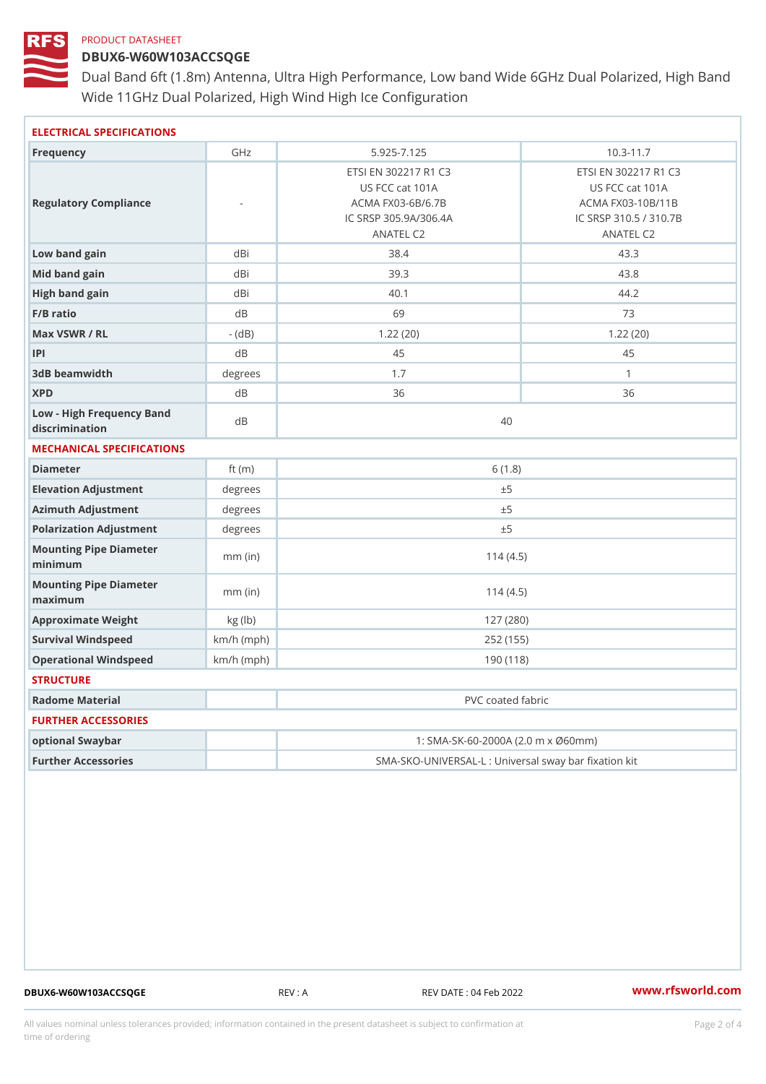## DBUX6-W60W103ACCSQGE

Dual Band 6ft (1.8m) Antenna, Ultra High Performance, Low band Wide Wide 11GHz Dual Polarized, High Wind High Ice Configuration

| ELECTRICAL SPECIFICATIONS                   |                                                   |                                                                                                    |                                                                                                     |
|---------------------------------------------|---------------------------------------------------|----------------------------------------------------------------------------------------------------|-----------------------------------------------------------------------------------------------------|
| Frequency                                   | GHz                                               | $5.925 - 7.125$                                                                                    | $10.3 - 11.7$                                                                                       |
| Regulatory Compliance                       |                                                   | ETSI EN 302217 R1 C3<br>US FCC cat 101A<br>ACMA FX03-6B/6.7B<br>IC SRSP 305.9A/306.4A<br>ANATEL C2 | ETSI EN 302217 R1 C3<br>US FCC cat 101A<br>ACMA FX03-10B/11B<br>IC SRSP 310.5 / 310.7B<br>ANATEL C2 |
| Low band gain                               | dBi                                               | 38.4                                                                                               | 43.3                                                                                                |
| Mid band gain                               | dBi                                               | 39.3                                                                                               | 43.8                                                                                                |
| High band gain                              | dBi                                               | 40.1                                                                                               | 44.2                                                                                                |
| $F/B$ ratio                                 | dB                                                | 69                                                                                                 | 73                                                                                                  |
| Max VSWR / RL                               | $-$ (dB)                                          | 1.22(20)                                                                                           | 1.22(20)                                                                                            |
| P                                           | d B                                               | 45                                                                                                 | 45                                                                                                  |
| 3dB beamwidth                               | degrees                                           | 1.7                                                                                                | $\mathbf{1}$                                                                                        |
| <b>XPD</b>                                  | d B                                               | 36                                                                                                 | 36                                                                                                  |
| Low - High Frequency Band<br>discrimination | dR                                                | 40                                                                                                 |                                                                                                     |
| MECHANICAL SPECIFICATIONS                   |                                                   |                                                                                                    |                                                                                                     |
| Diameter                                    | ft $(m)$                                          | 6(1.8)                                                                                             |                                                                                                     |
| Elevation Adjustment                        | degree                                            | ± 5                                                                                                |                                                                                                     |
| Azimuth Adjustment                          | degrees                                           | ± 5                                                                                                |                                                                                                     |
| Polarization Adjustment                     | $degree$ :                                        | ± 5                                                                                                |                                                                                                     |
| Mounting Pipe Diameter<br>minimum           | $mm$ (in)                                         | 114(4.5)                                                                                           |                                                                                                     |
| Mounting Pipe Diameter<br>maximum           | $mm$ (in)                                         | 114(4.5)                                                                                           |                                                                                                     |
| Approximate Weight                          | kg (lb)                                           | 127(280)                                                                                           |                                                                                                     |
| Survival Windspeed                          | $km/h$ (mph)                                      | 252 (155)                                                                                          |                                                                                                     |
| Operational Windspeed                       | $km/h$ (mph)                                      | 190 (118)                                                                                          |                                                                                                     |
| <b>STRUCTURE</b>                            |                                                   |                                                                                                    |                                                                                                     |
| Radome Material                             |                                                   | PVC coated fabric                                                                                  |                                                                                                     |
| FURTHER ACCESSORIES                         |                                                   |                                                                                                    |                                                                                                     |
| optional Swaybar                            | 1: SMA-SK-60-2000A (2.0 m x Ø60mm)                |                                                                                                    |                                                                                                     |
| Further Accessories                         | SMA-SKO-UNIVERSAL-L : Universal sway bar fixation |                                                                                                    |                                                                                                     |

DBUX6-W60W103ACCSQGE REV : A REV DATE : 04 Feb 2022 WWW.rfsworld.com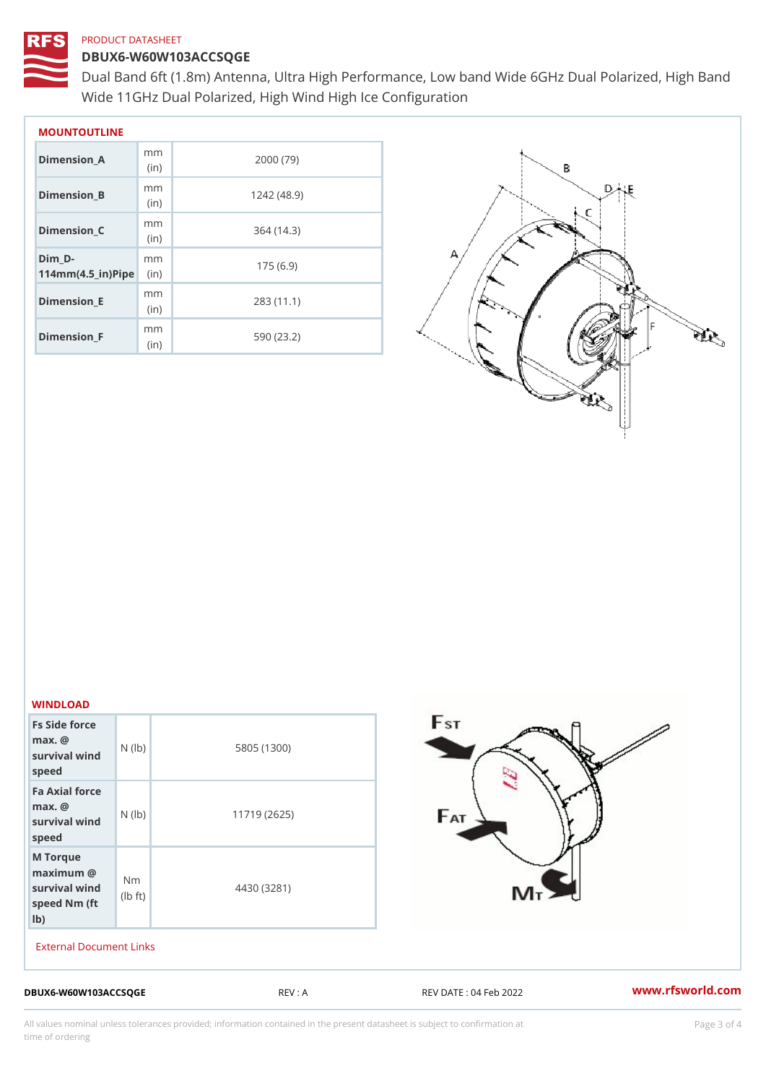#### DBUX6-W60W103ACCSQGE

Dual Band 6ft (1.8m) Antenna, Ultra High Performance, Low band Wide Wide 11GHz Dual Polarized, High Wind High Ice Configuration

| MOUNTOUTLINE                                    |              |            |  |  |
|-------------------------------------------------|--------------|------------|--|--|
| Dimension A                                     | m m<br>(i n) | 2000 (79)  |  |  |
| Dimension B                                     | m m<br>(in)  | 1242(48.9) |  |  |
| Dimension C                                     | m m<br>(in)  | 364 (14.3) |  |  |
| Dim D-<br>$114$ m m (4.5 _ i r ) $\sqrt{$ imple | m m          | 175(6.9)   |  |  |
| $Dimension$ $E$                                 | m m<br>(in)  | 283(11.1)  |  |  |
| Dimension_F                                     | m m<br>(i n) | 590 (23.2) |  |  |

#### WINDLOAD

| Fs Side force<br>$max.$ $@$<br>survival wind $(\vert b)$<br>speed                                                                                                                                    | 5805 (1300)  |
|------------------------------------------------------------------------------------------------------------------------------------------------------------------------------------------------------|--------------|
| Fa Axial force<br>$max.$ $@$<br>survival $w \nvert N$ ( $ b$ )<br>speed                                                                                                                              | 11719 (2625) |
| M Torque<br>$\begin{array}{ll}\n\text{maximum} & \textcircled{8}\\ \n\text{survival wind} & \text{Nm}\\ \n\text{speed Nm} & \text{(fb)}\\ \n\text{speed Nm} & \text{(ft)}\\ \n\end{array}$<br>$1b$ ) | 4430 (3281)  |

External Document Links

DBUX6-W60W103ACCSQGE REV : A REV DATE : 04 Feb 2022 WWW.rfsworld.com

All values nominal unless tolerances provided; information contained in the present datasheet is subject to Pcapgeling that i time of ordering